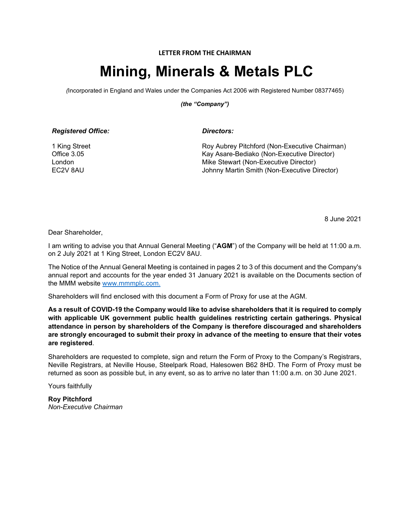### **LETTER FROM THE CHAIRMAN**

# **Mining, Minerals & Metals PLC**

*(*Incorporated in England and Wales under the Companies Act 2006 with Registered Number 08377465)

*(the "Company")*

| <b>Registered Office:</b> |  |
|---------------------------|--|
|---------------------------|--|

*Directors:* 

1 King Street Office 3.05 London EC2V 8AU

Roy Aubrey Pitchford (Non-Executive Chairman) Kay Asare-Bediako (Non-Executive Director) Mike Stewart (Non-Executive Director) Johnny Martin Smith (Non-Executive Director)

8 June 2021

Dear Shareholder,

I am writing to advise you that Annual General Meeting ("**AGM**") of the Company will be held at 11:00 a.m. on 2 July 2021 at 1 King Street, London EC2V 8AU.

The Notice of the Annual General Meeting is contained in pages 2 to 3 of this document and the Company's annual report and accounts for the year ended 31 January 2021 is available on the Documents section of the MMM website [www.mmmplc.com.](http://www.aiqhub.com/)

Shareholders will find enclosed with this document a Form of Proxy for use at the AGM.

**As a result of COVID-19 the Company would like to advise shareholders that it is required to comply with applicable UK government public health guidelines restricting certain gatherings. Physical attendance in person by shareholders of the Company is therefore discouraged and shareholders are strongly encouraged to submit their proxy in advance of the meeting to ensure that their votes are registered**.

Shareholders are requested to complete, sign and return the Form of Proxy to the Company's Registrars, Neville Registrars, at Neville House, Steelpark Road, Halesowen B62 8HD. The Form of Proxy must be returned as soon as possible but, in any event, so as to arrive no later than 11:00 a.m. on 30 June 2021.

Yours faithfully

**Roy Pitchford** *Non-Executive Chairman*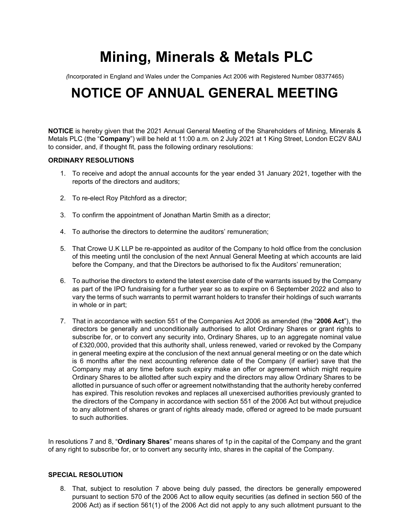# **Mining, Minerals & Metals PLC**

*(*Incorporated in England and Wales under the Companies Act 2006 with Registered Number 08377465)

# **NOTICE OF ANNUAL GENERAL MEETING**

**NOTICE** is hereby given that the 2021 Annual General Meeting of the Shareholders of Mining, Minerals & Metals PLC (the "**Company**") will be held at 11:00 a.m. on 2 July 2021 at 1 King Street, London EC2V 8AU to consider, and, if thought fit, pass the following ordinary resolutions:

### **ORDINARY RESOLUTIONS**

- 1. To receive and adopt the annual accounts for the year ended 31 January 2021, together with the reports of the directors and auditors;
- 2. To re-elect Roy Pitchford as a director;
- 3. To confirm the appointment of Jonathan Martin Smith as a director;
- 4. To authorise the directors to determine the auditors' remuneration;
- 5. That Crowe U.K LLP be re-appointed as auditor of the Company to hold office from the conclusion of this meeting until the conclusion of the next Annual General Meeting at which accounts are laid before the Company, and that the Directors be authorised to fix the Auditors' remuneration;
- 6. To authorise the directors to extend the latest exercise date of the warrants issued by the Company as part of the IPO fundraising for a further year so as to expire on 6 September 2022 and also to vary the terms of such warrants to permit warrant holders to transfer their holdings of such warrants in whole or in part;
- 7. That in accordance with section 551 of the Companies Act 2006 as amended (the "**2006 Act**"), the directors be generally and unconditionally authorised to allot Ordinary Shares or grant rights to subscribe for, or to convert any security into, Ordinary Shares, up to an aggregate nominal value of £320,000, provided that this authority shall, unless renewed, varied or revoked by the Company in general meeting expire at the conclusion of the next annual general meeting or on the date which is 6 months after the next accounting reference date of the Company (if earlier) save that the Company may at any time before such expiry make an offer or agreement which might require Ordinary Shares to be allotted after such expiry and the directors may allow Ordinary Shares to be allotted in pursuance of such offer or agreement notwithstanding that the authority hereby conferred has expired. This resolution revokes and replaces all unexercised authorities previously granted to the directors of the Company in accordance with section 551 of the 2006 Act but without prejudice to any allotment of shares or grant of rights already made, offered or agreed to be made pursuant to such authorities.

In resolutions 7 and 8, "**Ordinary Shares**" means shares of 1p in the capital of the Company and the grant of any right to subscribe for, or to convert any security into, shares in the capital of the Company.

## **SPECIAL RESOLUTION**

8. That, subject to resolution 7 above being duly passed, the directors be generally empowered pursuant to section 570 of the 2006 Act to allow equity securities (as defined in section 560 of the 2006 Act) as if section 561(1) of the 2006 Act did not apply to any such allotment pursuant to the